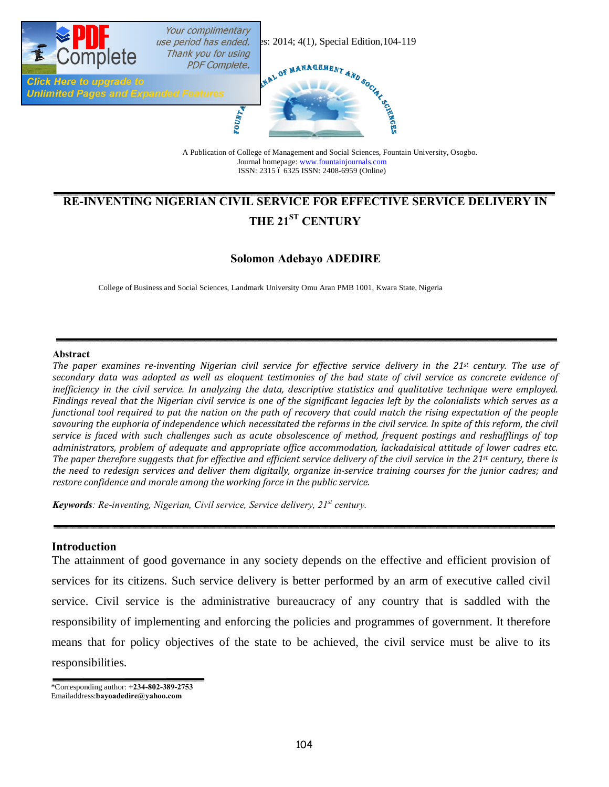

ISSN: 2315 6 6325 ISSN: 2408-6959 (Online)

# **RE-INVENTING NIGERIAN CIVIL SERVICE FOR EFFECTIVE SERVICE DELIVERY IN THE 21ST CENTURY**

# **Solomon Adebayo ADEDIRE**

College of Business and Social Sciences, Landmark University Omu Aran PMB 1001, Kwara State, Nigeria

#### **Abstract**

*The paper examines re-inventing Nigerian civil service for effective service delivery in the 21st century. The use of secondary data was adopted as well as eloquent testimonies of the bad state of civil service as concrete evidence of inefficiency in the civil service. In analyzing the data, descriptive statistics and qualitative technique were employed. Findings reveal that the Nigerian civil service is one of the significant legacies left by the colonialists which serves as a functional tool required to put the nation on the path of recovery that could match the rising expectation of the people*  savouring the euphoria of independence which necessitated the reforms in the civil service. In spite of this reform, the civil *service is faced with such challenges such as acute obsolescence of method, frequent postings and reshufflings of top administrators, problem of adequate and appropriate office accommodation, lackadaisical attitude of lower cadres etc. The paper therefore suggests that for effective and efficient service delivery of the civil service in the 21st century, there is the need to redesign services and deliver them digitally, organize in-service training courses for the junior cadres; and restore confidence and morale among the working force in the public service.*

*Keywords: Re-inventing, Nigerian, Civil service, Service delivery, 21st century.*

### **Introduction**

The attainment of good governance in any society depends on the effective and efficient provision of services for its citizens. Such service delivery is better performed by an arm of executive called civil service. Civil service is the administrative bureaucracy of any country that is saddled with the responsibility of implementing and enforcing the policies and programmes of government. It therefore means that for policy objectives of the state to be achieved, the civil service must be alive to its responsibilities.

\*Corresponding author: **+234-802-389-2753** Emailaddress:**bayoadedire@yahoo.com**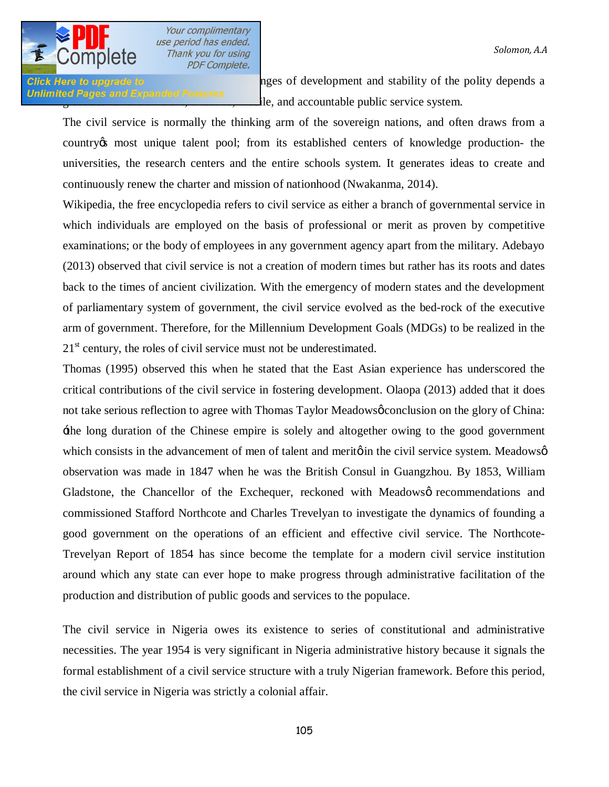**Click Here to upgrade to 2004** observed that the challenges of development and stability of the polity depends a Unlimited Pages and Expanded Features<br> $\frac{d}{dx}$  and accountable public service system.

The civil service is normally the thinking arm of the sovereign nations, and often draws from a country's most unique talent pool; from its established centers of knowledge production- the universities, the research centers and the entire schools system. It generates ideas to create and continuously renew the charter and mission of nationhood (Nwakanma, 2014).

Wikipedia, the free encyclopedia refers to civil service as either a branch of governmental service in which individuals are employed on the basis of professional or merit as proven by competitive examinations; or the body of employees in any government agency apart from the military. Adebayo (2013) observed that civil service is not a creation of modern times but rather has its roots and dates back to the times of ancient civilization. With the emergency of modern states and the development of parliamentary system of government, the civil service evolved as the bed-rock of the executive arm of government. Therefore, for the Millennium Development Goals (MDGs) to be realized in the  $21<sup>st</sup>$  century, the roles of civil service must not be underestimated.

Thomas (1995) observed this when he stated that the East Asian experience has underscored the critical contributions of the civil service in fostering development. Olaopa (2013) added that it does not take serious reflection to agree with Thomas Taylor Meadows *g* conclusion on the glory of China: 'the long duration of the Chinese empire is solely and altogether owing to the good government which consists in the advancement of men of talent and meritø in the civil service system. Meadowsø observation was made in 1847 when he was the British Consul in Guangzhou. By 1853, William Gladstone, the Chancellor of the Exchequer, reckoned with Meadows or recommendations and commissioned Stafford Northcote and Charles Trevelyan to investigate the dynamics of founding a good government on the operations of an efficient and effective civil service. The Northcote-Trevelyan Report of 1854 has since become the template for a modern civil service institution around which any state can ever hope to make progress through administrative facilitation of the production and distribution of public goods and services to the populace.

The civil service in Nigeria owes its existence to series of constitutional and administrative necessities. The year 1954 is very significant in Nigeria administrative history because it signals the formal establishment of a civil service structure with a truly Nigerian framework. Before this period, the civil service in Nigeria was strictly a colonial affair.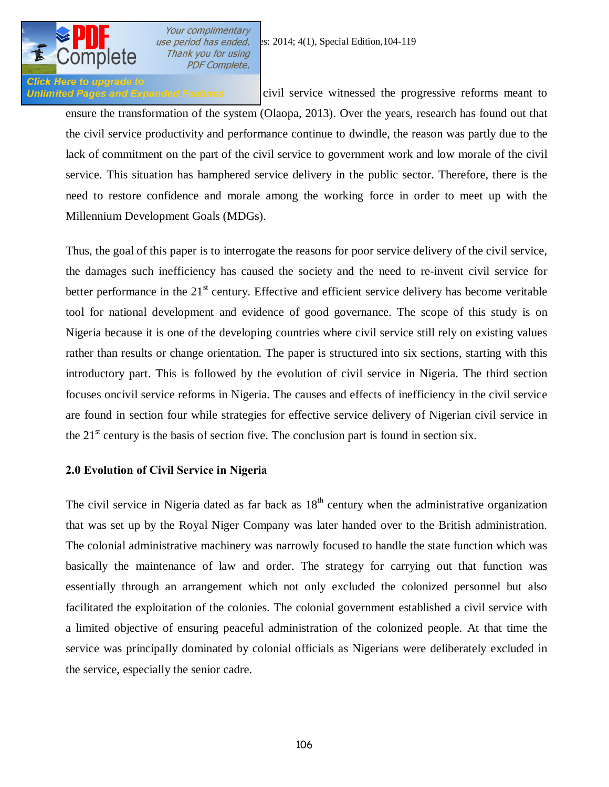

**Click Here to upgrade to** 

Your complimentary Thank you for using **PDF Complete.** 

Unlimited Pages and Expanded Features civil service witnessed the progressive reforms meant to ensure the transformation of the system (Olaopa, 2013). Over the years, research has found out that the civil service productivity and performance continue to dwindle, the reason was partly due to the lack of commitment on the part of the civil service to government work and low morale of the civil service. This situation has hamphered service delivery in the public sector. Therefore, there is the need to restore confidence and morale among the working force in order to meet up with the Millennium Development Goals (MDGs).

Thus, the goal of this paper is to interrogate the reasons for poor service delivery of the civil service, the damages such inefficiency has caused the society and the need to re-invent civil service for better performance in the  $21<sup>st</sup>$  century. Effective and efficient service delivery has become veritable tool for national development and evidence of good governance. The scope of this study is on Nigeria because it is one of the developing countries where civil service still rely on existing values rather than results or change orientation. The paper is structured into six sections, starting with this introductory part. This is followed by the evolution of civil service in Nigeria. The third section focuses oncivil service reforms in Nigeria. The causes and effects of inefficiency in the civil service are found in section four while strategies for effective service delivery of Nigerian civil service in the  $21<sup>st</sup>$  century is the basis of section five. The conclusion part is found in section six.

## **2.0 Evolution of Civil Service in Nigeria**

The civil service in Nigeria dated as far back as  $18<sup>th</sup>$  century when the administrative organization that was set up by the Royal Niger Company was later handed over to the British administration. The colonial administrative machinery was narrowly focused to handle the state function which was basically the maintenance of law and order. The strategy for carrying out that function was essentially through an arrangement which not only excluded the colonized personnel but also facilitated the exploitation of the colonies. The colonial government established a civil service with a limited objective of ensuring peaceful administration of the colonized people. At that time the service was principally dominated by colonial officials as Nigerians were deliberately excluded in the service, especially the senior cadre.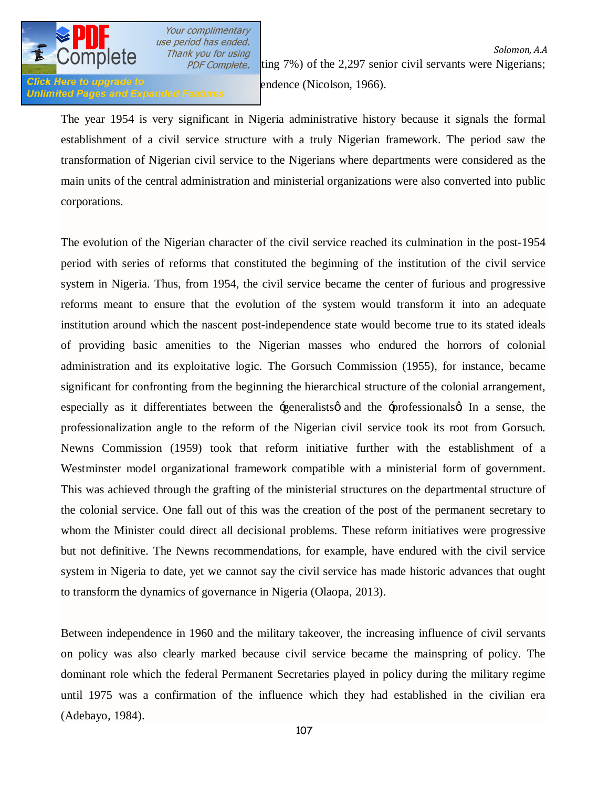

Your complimentary

Click Here to upgrade to only 1966).<br>Unlimited Pages and Expanded Features endence (Nicolson, 1966).

*use period has ended.*<br>Thank you for using the state of the state of the Solomon, A.A. **Solution, A.A.**<br>For example, by 1948 of the 2,297 senior civil servants were Nigerians;

The year 1954 is very significant in Nigeria administrative history because it signals the formal establishment of a civil service structure with a truly Nigerian framework. The period saw the transformation of Nigerian civil service to the Nigerians where departments were considered as the main units of the central administration and ministerial organizations were also converted into public corporations.

The evolution of the Nigerian character of the civil service reached its culmination in the post-1954 period with series of reforms that constituted the beginning of the institution of the civil service system in Nigeria. Thus, from 1954, the civil service became the center of furious and progressive reforms meant to ensure that the evolution of the system would transform it into an adequate institution around which the nascent post-independence state would become true to its stated ideals of providing basic amenities to the Nigerian masses who endured the horrors of colonial administration and its exploitative logic. The Gorsuch Commission (1955), for instance, became significant for confronting from the beginning the hierarchical structure of the colonial arrangement, especially as it differentiates between the  $\pm$ generalists and the  $\pm$ professionals  $\mu$  In a sense, the professionalization angle to the reform of the Nigerian civil service took its root from Gorsuch. Newns Commission (1959) took that reform initiative further with the establishment of a Westminster model organizational framework compatible with a ministerial form of government. This was achieved through the grafting of the ministerial structures on the departmental structure of the colonial service. One fall out of this was the creation of the post of the permanent secretary to whom the Minister could direct all decisional problems. These reform initiatives were progressive but not definitive. The Newns recommendations, for example, have endured with the civil service system in Nigeria to date, yet we cannot say the civil service has made historic advances that ought to transform the dynamics of governance in Nigeria (Olaopa, 2013).

Between independence in 1960 and the military takeover, the increasing influence of civil servants on policy was also clearly marked because civil service became the mainspring of policy. The dominant role which the federal Permanent Secretaries played in policy during the military regime until 1975 was a confirmation of the influence which they had established in the civilian era (Adebayo, 1984).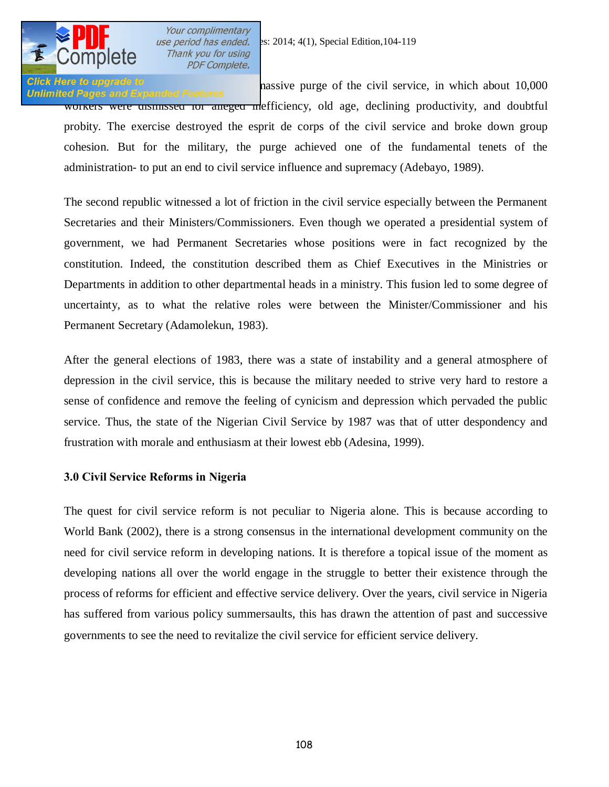

Click Here to upgrade to<br>Unlimited Pages and Expanded Features and the massive purge of the civil service, in which about 10,000 workers were unsteducted for an alleged mefficiency, old age, declining productivity, and doubtful probity. The exercise destroyed the esprit de corps of the civil service and broke down group cohesion. But for the military, the purge achieved one of the fundamental tenets of the administration- to put an end to civil service influence and supremacy (Adebayo, 1989).

The second republic witnessed a lot of friction in the civil service especially between the Permanent Secretaries and their Ministers/Commissioners. Even though we operated a presidential system of government, we had Permanent Secretaries whose positions were in fact recognized by the constitution. Indeed, the constitution described them as Chief Executives in the Ministries or Departments in addition to other departmental heads in a ministry. This fusion led to some degree of uncertainty, as to what the relative roles were between the Minister/Commissioner and his Permanent Secretary (Adamolekun, 1983).

After the general elections of 1983, there was a state of instability and a general atmosphere of depression in the civil service, this is because the military needed to strive very hard to restore a sense of confidence and remove the feeling of cynicism and depression which pervaded the public service. Thus, the state of the Nigerian Civil Service by 1987 was that of utter despondency and frustration with morale and enthusiasm at their lowest ebb (Adesina, 1999).

# **3.0 Civil Service Reforms in Nigeria**

The quest for civil service reform is not peculiar to Nigeria alone. This is because according to World Bank (2002), there is a strong consensus in the international development community on the need for civil service reform in developing nations. It is therefore a topical issue of the moment as developing nations all over the world engage in the struggle to better their existence through the process of reforms for efficient and effective service delivery. Over the years, civil service in Nigeria has suffered from various policy summersaults, this has drawn the attention of past and successive governments to see the need to revitalize the civil service for efficient service delivery.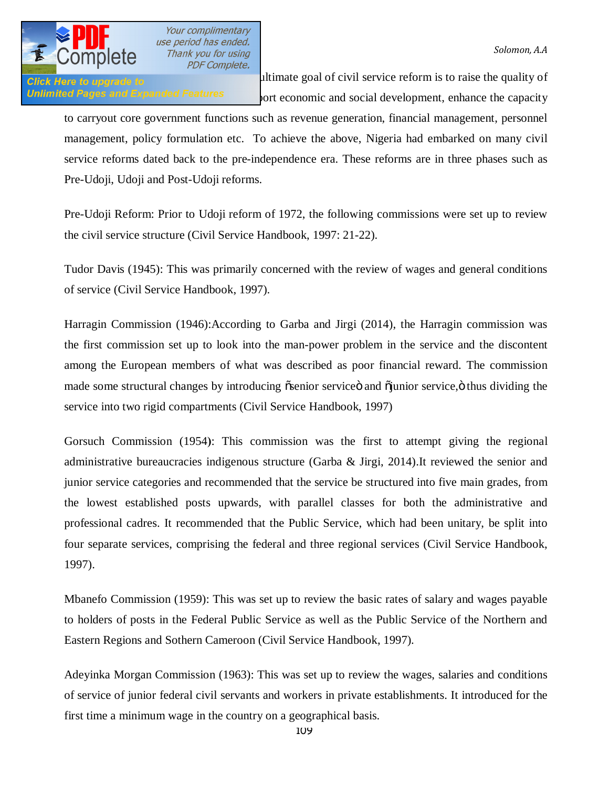**Click Here to upgrade to alterial in the ultimate goal of civil service reform is to raise the quality of** Unlimited Pages and Expanded Features out economic and social development, enhance the capacity

to carryout core government functions such as revenue generation, financial management, personnel management, policy formulation etc. To achieve the above, Nigeria had embarked on many civil service reforms dated back to the pre-independence era. These reforms are in three phases such as Pre-Udoji, Udoji and Post-Udoji reforms.

Pre-Udoji Reform: Prior to Udoji reform of 1972, the following commissions were set up to review the civil service structure (Civil Service Handbook, 1997: 21-22).

Tudor Davis (1945): This was primarily concerned with the review of wages and general conditions of service (Civil Service Handbook, 1997).

Harragin Commission (1946):According to Garba and Jirgi (2014), the Harragin commission was the first commission set up to look into the man-power problem in the service and the discontent among the European members of what was described as poor financial reward. The commission made some structural changes by introducing  $\tilde{\alpha}$ senior service $\ddot{\alpha}$  and  $\tilde{\alpha}$  iunior service, $\ddot{\alpha}$  thus dividing the service into two rigid compartments (Civil Service Handbook, 1997)

Gorsuch Commission (1954**)**: This commission was the first to attempt giving the regional administrative bureaucracies indigenous structure (Garba  $\&$  Jirgi, 2014).It reviewed the senior and junior service categories and recommended that the service be structured into five main grades, from the lowest established posts upwards, with parallel classes for both the administrative and professional cadres. It recommended that the Public Service, which had been unitary, be split into four separate services, comprising the federal and three regional services (Civil Service Handbook, 1997).

Mbanefo Commission (1959): This was set up to review the basic rates of salary and wages payable to holders of posts in the Federal Public Service as well as the Public Service of the Northern and Eastern Regions and Sothern Cameroon (Civil Service Handbook, 1997).

Adeyinka Morgan Commission (1963): This was set up to review the wages, salaries and conditions of service of junior federal civil servants and workers in private establishments. It introduced for the first time a minimum wage in the country on a geographical basis.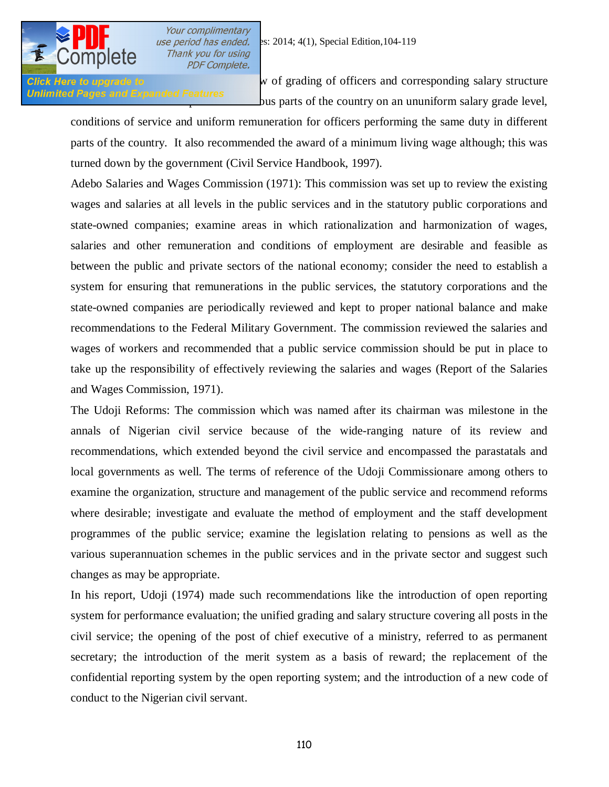

Click Here to upgrade to **review in the community** w of grading of officers and corresponding salary structure Unlimited Pages and Expanded Features<br>
us parts of the country on an ununiform salary grade level,

conditions of service and uniform remuneration for officers performing the same duty in different parts of the country. It also recommended the award of a minimum living wage although; this was turned down by the government (Civil Service Handbook, 1997).

Adebo Salaries and Wages Commission (1971): This commission was set up to review the existing wages and salaries at all levels in the public services and in the statutory public corporations and state-owned companies; examine areas in which rationalization and harmonization of wages, salaries and other remuneration and conditions of employment are desirable and feasible as between the public and private sectors of the national economy; consider the need to establish a system for ensuring that remunerations in the public services, the statutory corporations and the state-owned companies are periodically reviewed and kept to proper national balance and make recommendations to the Federal Military Government. The commission reviewed the salaries and wages of workers and recommended that a public service commission should be put in place to take up the responsibility of effectively reviewing the salaries and wages (Report of the Salaries and Wages Commission, 1971).

The Udoji Reforms: The commission which was named after its chairman was milestone in the annals of Nigerian civil service because of the wide-ranging nature of its review and recommendations, which extended beyond the civil service and encompassed the parastatals and local governments as well. The terms of reference of the Udoji Commissionare among others to examine the organization, structure and management of the public service and recommend reforms where desirable; investigate and evaluate the method of employment and the staff development programmes of the public service; examine the legislation relating to pensions as well as the various superannuation schemes in the public services and in the private sector and suggest such changes as may be appropriate.

In his report, Udoji (1974) made such recommendations like the introduction of open reporting system for performance evaluation; the unified grading and salary structure covering all posts in the civil service; the opening of the post of chief executive of a ministry, referred to as permanent secretary; the introduction of the merit system as a basis of reward; the replacement of the confidential reporting system by the open reporting system; and the introduction of a new code of conduct to the Nigerian civil servant.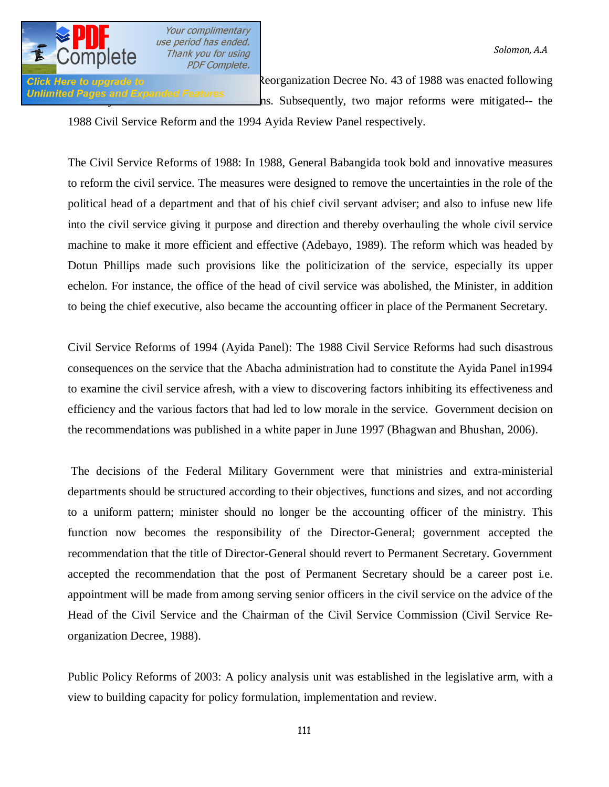

*a Solomon, A.A*<br>*Thank you for using* **PDF Complete.** 

Unlimited Pages and Expanded Features hs. Subsequently, two major reforms were mitigated-- the

**Click Here to upgrade to Reforms:** Reorganization Decree No. 43 of 1988 was enacted following

1988 Civil Service Reform and the 1994 Ayida Review Panel respectively.

The Civil Service Reforms of 1988: In 1988, General Babangida took bold and innovative measures to reform the civil service. The measures were designed to remove the uncertainties in the role of the political head of a department and that of his chief civil servant adviser; and also to infuse new life into the civil service giving it purpose and direction and thereby overhauling the whole civil service machine to make it more efficient and effective (Adebayo, 1989). The reform which was headed by Dotun Phillips made such provisions like the politicization of the service, especially its upper echelon. For instance, the office of the head of civil service was abolished, the Minister, in addition to being the chief executive, also became the accounting officer in place of the Permanent Secretary.

Civil Service Reforms of 1994 (Ayida Panel): The 1988 Civil Service Reforms had such disastrous consequences on the service that the Abacha administration had to constitute the Ayida Panel in1994 to examine the civil service afresh, with a view to discovering factors inhibiting its effectiveness and efficiency and the various factors that had led to low morale in the service. Government decision on the recommendations was published in a white paper in June 1997 (Bhagwan and Bhushan, 2006).

The decisions of the Federal Military Government were that ministries and extra-ministerial departments should be structured according to their objectives, functions and sizes, and not according to a uniform pattern; minister should no longer be the accounting officer of the ministry. This function now becomes the responsibility of the Director-General; government accepted the recommendation that the title of Director-General should revert to Permanent Secretary. Government accepted the recommendation that the post of Permanent Secretary should be a career post i.e. appointment will be made from among serving senior officers in the civil service on the advice of the Head of the Civil Service and the Chairman of the Civil Service Commission (Civil Service Reorganization Decree, 1988).

Public Policy Reforms of 2003: A policy analysis unit was established in the legislative arm, with a view to building capacity for policy formulation, implementation and review.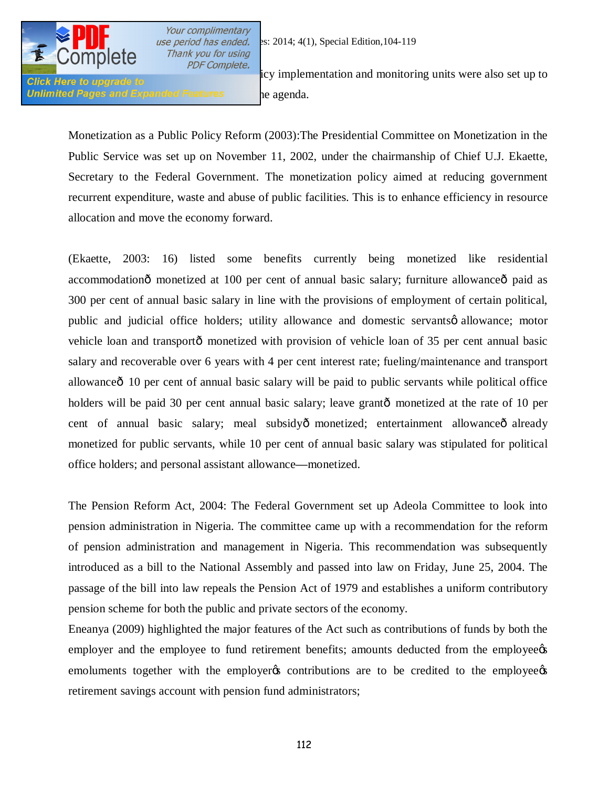

Your complimentary Thank you for using

Unlimited Pages and Expanded Features by a agenda.

**In the executive COTTIPICTU** *PDF Complete.* icy implementation and monitoring units were also set up to **Click Here to upgrade to** 

Monetization as a Public Policy Reform (2003):The Presidential Committee on Monetization in the Public Service was set up on November 11, 2002, under the chairmanship of Chief U.J. Ekaette, Secretary to the Federal Government. The monetization policy aimed at reducing government recurrent expenditure, waste and abuse of public facilities. This is to enhance efficiency in resource allocation and move the economy forward.

(Ekaette, 2003: 16) listed some benefits currently being monetized like residential accommodationô monetized at 100 per cent of annual basic salary; furniture allowanceô paid as 300 per cent of annual basic salary in line with the provisions of employment of certain political, public and judicial office holders; utility allowance and domestic servants  $\phi$  allowance; motor vehicle loan and transportô monetized with provision of vehicle loan of 35 per cent annual basic salary and recoverable over 6 years with 4 per cent interest rate; fueling/maintenance and transport allowance<sup> $\hat{0}$ </sup> 10 per cent of annual basic salary will be paid to public servants while political office holders will be paid 30 per cent annual basic salary; leave grantô monetized at the rate of 10 per cent of annual basic salary; meal subsidyô monetized; entertainment allowanceô already monetized for public servants, while 10 per cent of annual basic salary was stipulated for political office holders; and personal assistant allowance**—**monetized.

The Pension Reform Act, 2004: The Federal Government set up Adeola Committee to look into pension administration in Nigeria. The committee came up with a recommendation for the reform of pension administration and management in Nigeria. This recommendation was subsequently introduced as a bill to the National Assembly and passed into law on Friday, June 25, 2004. The passage of the bill into law repeals the Pension Act of 1979 and establishes a uniform contributory pension scheme for both the public and private sectors of the economy.

Eneanya (2009) highlighted the major features of the Act such as contributions of funds by both the employer and the employee to fund retirement benefits; amounts deducted from the employees emoluments together with the employers contributions are to be credited to the employees retirement savings account with pension fund administrators;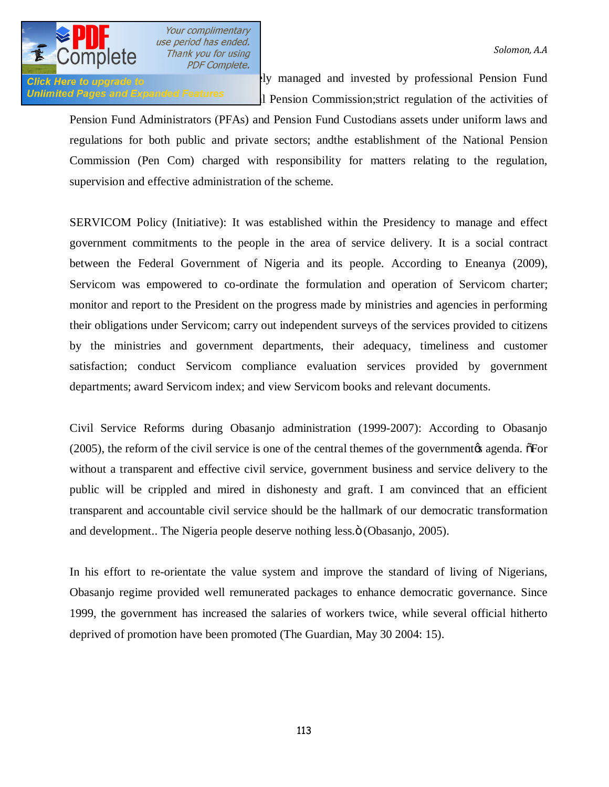Persian fund as a strong of the state of the private state of the private of the private of the contract of the contract of the contract of the contract of the contract of the contract of the contract of the contract of th Unlimited Pages and Expanded Features and Pension Commission; strict regulation of the activities of

Pension Fund Administrators (PFAs) and Pension Fund Custodians assets under uniform laws and regulations for both public and private sectors; andthe establishment of the National Pension Commission (Pen Com) charged with responsibility for matters relating to the regulation, supervision and effective administration of the scheme.

SERVICOM Policy (Initiative): It was established within the Presidency to manage and effect government commitments to the people in the area of service delivery. It is a social contract between the Federal Government of Nigeria and its people. According to Eneanya (2009), Servicom was empowered to co-ordinate the formulation and operation of Servicom charter; monitor and report to the President on the progress made by ministries and agencies in performing their obligations under Servicom; carry out independent surveys of the services provided to citizens by the ministries and government departments, their adequacy, timeliness and customer satisfaction; conduct Servicom compliance evaluation services provided by government departments; award Servicom index; and view Servicom books and relevant documents.

Civil Service Reforms during Obasanjo administration (1999-2007): According to Obasanjo  $(2005)$ , the reform of the civil service is one of the central themes of the government  $\alpha$  agenda.  $\delta$ For without a transparent and effective civil service, government business and service delivery to the public will be crippled and mired in dishonesty and graft. I am convinced that an efficient transparent and accountable civil service should be the hallmark of our democratic transformation and development.. The Nigeria people deserve nothing less. $\ddot{\text{o}}$  (Obasanjo, 2005).

In his effort to re-orientate the value system and improve the standard of living of Nigerians, Obasanjo regime provided well remunerated packages to enhance democratic governance. Since 1999, the government has increased the salaries of workers twice, while several official hitherto deprived of promotion have been promoted (The Guardian, May 30 2004: 15).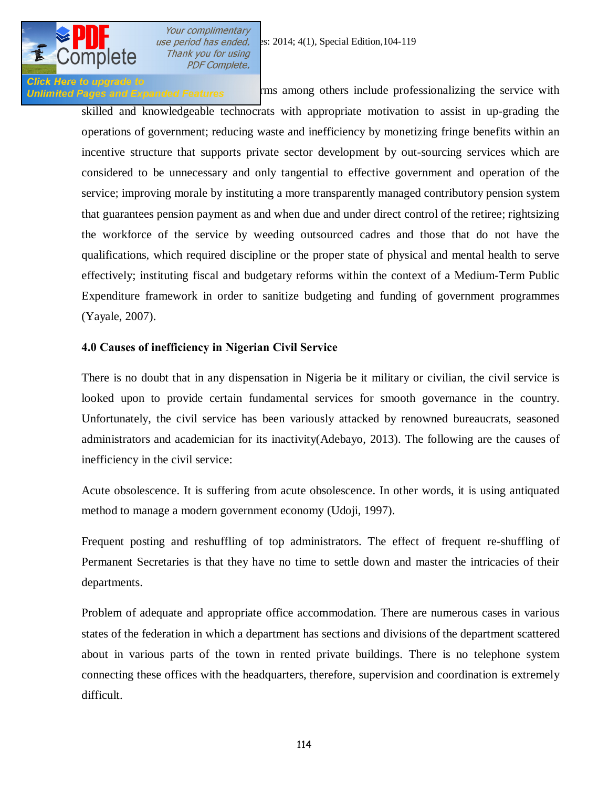

Click Here to upgrade to<br>Unlimited Pages and Expanded Features **Fig. 2** rms among others include professionalizing the service with skilled and knowledgeable technocrats with appropriate motivation to assist in up-grading the operations of government; reducing waste and inefficiency by monetizing fringe benefits within an incentive structure that supports private sector development by out-sourcing services which are considered to be unnecessary and only tangential to effective government and operation of the service; improving morale by instituting a more transparently managed contributory pension system that guarantees pension payment as and when due and under direct control of the retiree; rightsizing the workforce of the service by weeding outsourced cadres and those that do not have the qualifications, which required discipline or the proper state of physical and mental health to serve effectively; instituting fiscal and budgetary reforms within the context of a Medium-Term Public Expenditure framework in order to sanitize budgeting and funding of government programmes (Yayale, 2007).

## **4.0 Causes of inefficiency in Nigerian Civil Service**

There is no doubt that in any dispensation in Nigeria be it military or civilian, the civil service is looked upon to provide certain fundamental services for smooth governance in the country. Unfortunately, the civil service has been variously attacked by renowned bureaucrats, seasoned administrators and academician for its inactivity(Adebayo, 2013). The following are the causes of inefficiency in the civil service:

Acute obsolescence. It is suffering from acute obsolescence. In other words, it is using antiquated method to manage a modern government economy (Udoji, 1997).

Frequent posting and reshuffling of top administrators. The effect of frequent re-shuffling of Permanent Secretaries is that they have no time to settle down and master the intricacies of their departments.

Problem of adequate and appropriate office accommodation. There are numerous cases in various states of the federation in which a department has sections and divisions of the department scattered about in various parts of the town in rented private buildings. There is no telephone system connecting these offices with the headquarters, therefore, supervision and coordination is extremely difficult.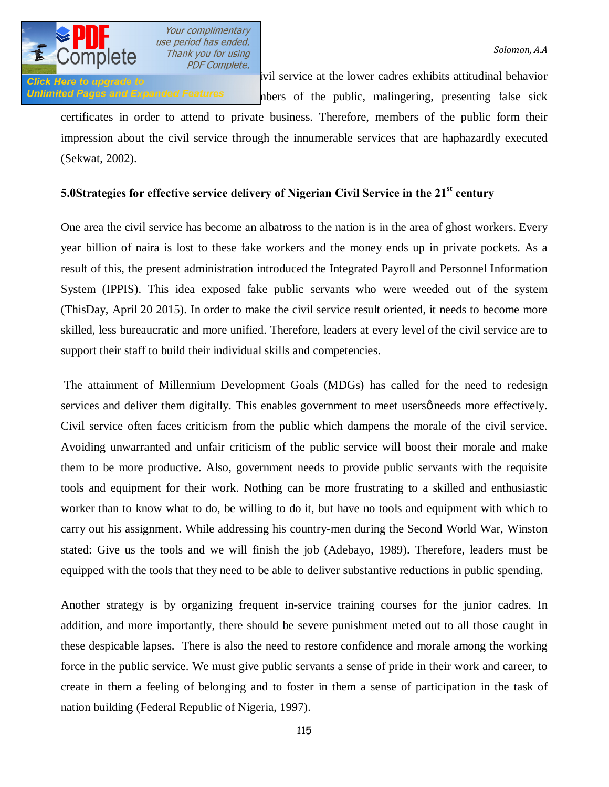

Lackadaisia at the lower cadres exhibits attitudinal behavior control in the lower cadres exhibits attitudinal behavior Unlimited Pages and Expanded Features hbers of the public, malingering, presenting false sick

certificates in order to attend to private business. Therefore, members of the public form their impression about the civil service through the innumerable services that are haphazardly executed (Sekwat, 2002).

# **5.0Strategies for effective service delivery of Nigerian Civil Service in the 21st century**

One area the civil service has become an albatross to the nation is in the area of ghost workers. Every year billion of naira is lost to these fake workers and the money ends up in private pockets. As a result of this, the present administration introduced the Integrated Payroll and Personnel Information System (IPPIS). This idea exposed fake public servants who were weeded out of the system (ThisDay, April 20 2015). In order to make the civil service result oriented, it needs to become more skilled, less bureaucratic and more unified. Therefore, leaders at every level of the civil service are to support their staff to build their individual skills and competencies.

The attainment of Millennium Development Goals (MDGs) has called for the need to redesign services and deliver them digitally. This enables government to meet users  $\phi$  needs more effectively. Civil service often faces criticism from the public which dampens the morale of the civil service. Avoiding unwarranted and unfair criticism of the public service will boost their morale and make them to be more productive. Also, government needs to provide public servants with the requisite tools and equipment for their work. Nothing can be more frustrating to a skilled and enthusiastic worker than to know what to do, be willing to do it, but have no tools and equipment with which to carry out his assignment. While addressing his country-men during the Second World War, Winston stated: Give us the tools and we will finish the job (Adebayo, 1989). Therefore, leaders must be equipped with the tools that they need to be able to deliver substantive reductions in public spending.

Another strategy is by organizing frequent in-service training courses for the junior cadres. In addition, and more importantly, there should be severe punishment meted out to all those caught in these despicable lapses. There is also the need to restore confidence and morale among the working force in the public service. We must give public servants a sense of pride in their work and career, to create in them a feeling of belonging and to foster in them a sense of participation in the task of nation building (Federal Republic of Nigeria, 1997).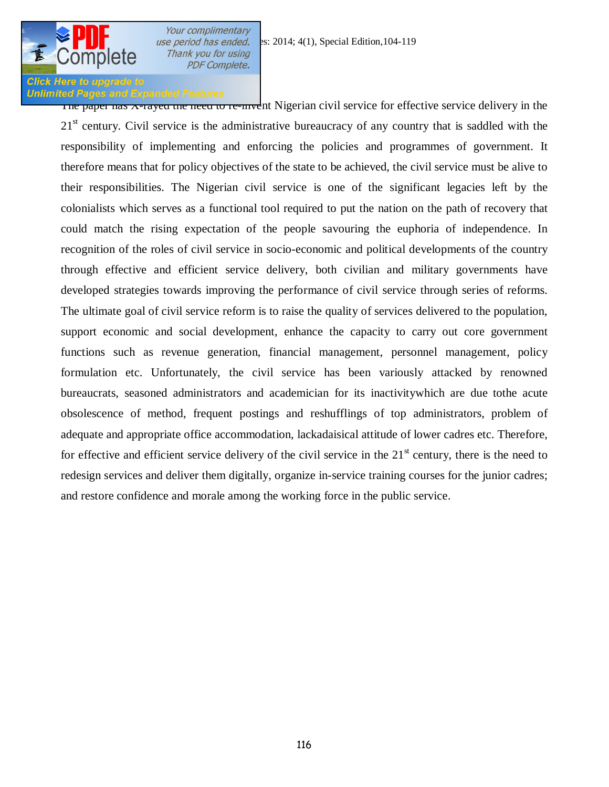

## **Unlimited Pages and Expanded Features**

The paper has A-rayed the need to re-invent Nigerian civil service for effective service delivery in the  $21<sup>st</sup>$  century. Civil service is the administrative bureaucracy of any country that is saddled with the responsibility of implementing and enforcing the policies and programmes of government. It therefore means that for policy objectives of the state to be achieved, the civil service must be alive to their responsibilities. The Nigerian civil service is one of the significant legacies left by the colonialists which serves as a functional tool required to put the nation on the path of recovery that could match the rising expectation of the people savouring the euphoria of independence. In recognition of the roles of civil service in socio-economic and political developments of the country through effective and efficient service delivery, both civilian and military governments have developed strategies towards improving the performance of civil service through series of reforms. The ultimate goal of civil service reform is to raise the quality of services delivered to the population, support economic and social development, enhance the capacity to carry out core government functions such as revenue generation, financial management, personnel management, policy formulation etc. Unfortunately, the civil service has been variously attacked by renowned bureaucrats, seasoned administrators and academician for its inactivitywhich are due tothe acute obsolescence of method, frequent postings and reshufflings of top administrators, problem of adequate and appropriate office accommodation, lackadaisical attitude of lower cadres etc. Therefore, for effective and efficient service delivery of the civil service in the  $21<sup>st</sup>$  century, there is the need to redesign services and deliver them digitally, organize in-service training courses for the junior cadres; and restore confidence and morale among the working force in the public service.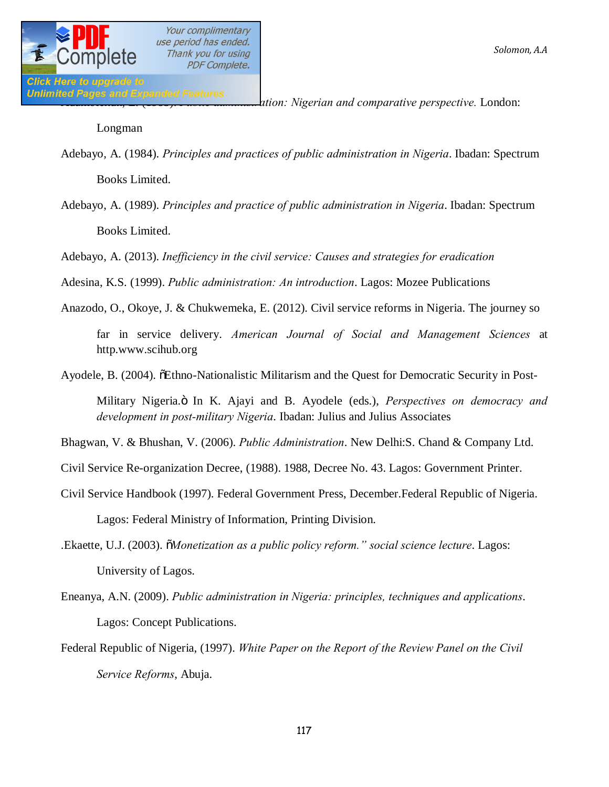Unlimited Pages and Expanded Features<br>ation: Nigerian and comparative perspective. London:<br>material perspective. London:

Longman

- Adebayo, A. (1984). *Principles and practices of public administration in Nigeria*. Ibadan: Spectrum Books Limited.
- Adebayo, A. (1989). *Principles and practice of public administration in Nigeria*. Ibadan: Spectrum Books Limited.

Adebayo, A. (2013). *Inefficiency in the civil service: Causes and strategies for eradication*

Adesina, K.S. (1999). *Public administration: An introduction*. Lagos: Mozee Publications

Anazodo, O., Okoye, J. & Chukwemeka, E. (2012). Civil service reforms in Nigeria. The journey so far in service delivery. *American Journal of Social and Management Sciences* at http.www.scihub.org

Ayodele, B. (2004).  $\delta$ Ethno-Nationalistic Militarism and the Quest for Democratic Security in Post-

Military Nigeria." In K. Ajayi and B. Ayodele (eds.), *Perspectives on democracy and development in post-military Nigeria*. Ibadan: Julius and Julius Associates

Bhagwan, V. & Bhushan, V. (2006). *Public Administration*. New Delhi:S. Chand & Company Ltd.

Civil Service Re-organization Decree, (1988). 1988, Decree No. 43. Lagos: Government Printer.

- Civil Service Handbook (1997). Federal Government Press, December.Federal Republic of Nigeria. Lagos: Federal Ministry of Information, Printing Division.
- .Ekaette, U.J. (2003). "*Monetization as a public policy reform." social science lecture*. Lagos: University of Lagos.
- Eneanya, A.N. (2009). *Public administration in Nigeria: principles, techniques and applications*. Lagos: Concept Publications.
- Federal Republic of Nigeria, (1997). *White Paper on the Report of the Review Panel on the Civil Service Reforms*, Abuja.